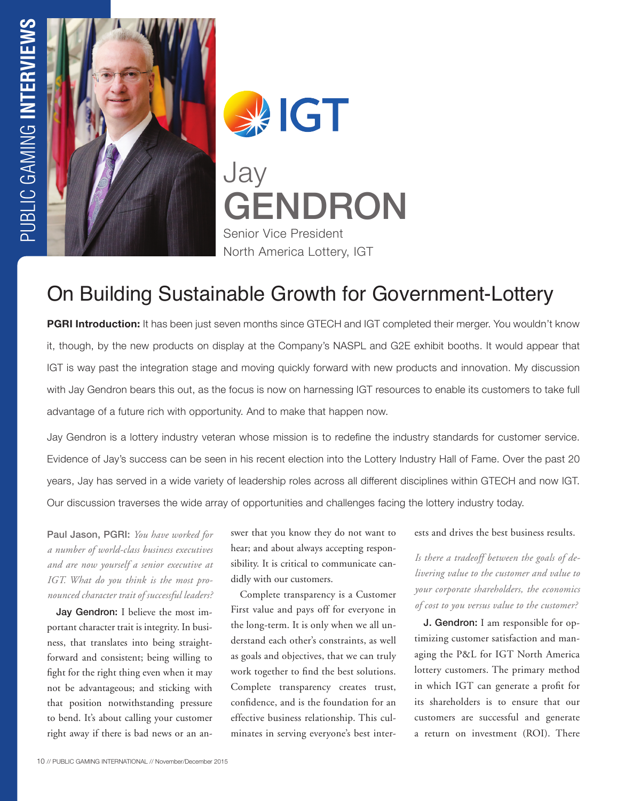

**SAIGT** Jay GENDRON Senior Vice President North America Lottery, IGT

# On Building Sustainable Growth for Government-Lottery

**PGRI Introduction:** It has been just seven months since GTECH and IGT completed their merger. You wouldn't know it, though, by the new products on display at the Company's NASPL and G2E exhibit booths. It would appear that IGT is way past the integration stage and moving quickly forward with new products and innovation. My discussion with Jay Gendron bears this out, as the focus is now on harnessing IGT resources to enable its customers to take full advantage of a future rich with opportunity. And to make that happen now.

Jay Gendron is a lottery industry veteran whose mission is to redefine the industry standards for customer service. Evidence of Jay's success can be seen in his recent election into the Lottery Industry Hall of Fame. Over the past 20 years, Jay has served in a wide variety of leadership roles across all different disciplines within GTECH and now IGT. Our discussion traverses the wide array of opportunities and challenges facing the lottery industry today.

Paul Jason, PGRI: *You have worked for a number of world-class business executives and are now yourself a senior executive at IGT. What do you think is the most pronounced character trait of successful leaders?*

Jay Gendron: I believe the most important character trait is integrity. In business, that translates into being straightforward and consistent; being willing to fight for the right thing even when it may not be advantageous; and sticking with that position notwithstanding pressure to bend. It's about calling your customer right away if there is bad news or an answer that you know they do not want to hear; and about always accepting responsibility. It is critical to communicate candidly with our customers.

Complete transparency is a Customer First value and pays off for everyone in the long-term. It is only when we all understand each other's constraints, as well as goals and objectives, that we can truly work together to find the best solutions. Complete transparency creates trust, confidence, and is the foundation for an effective business relationship. This culminates in serving everyone's best inter-

#### ests and drives the best business results.

*Is there a tradeoff between the goals of delivering value to the customer and value to your corporate shareholders, the economics of cost to you versus value to the customer?* 

J. Gendron: I am responsible for optimizing customer satisfaction and managing the P&L for IGT North America lottery customers. The primary method in which IGT can generate a profit for its shareholders is to ensure that our customers are successful and generate a return on investment (ROI). There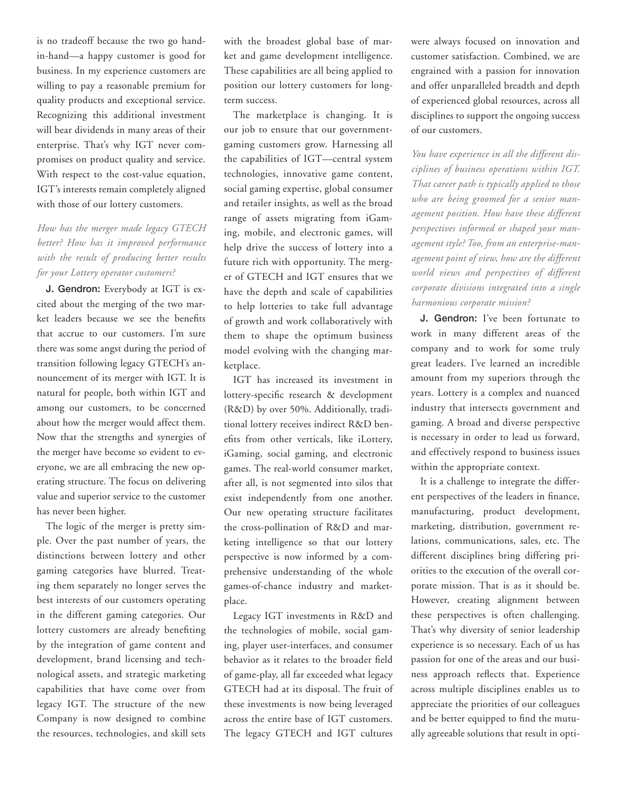is no tradeoff because the two go handin-hand—a happy customer is good for business. In my experience customers are willing to pay a reasonable premium for quality products and exceptional service. Recognizing this additional investment will bear dividends in many areas of their enterprise. That's why IGT never compromises on product quality and service. With respect to the cost-value equation, IGT's interests remain completely aligned with those of our lottery customers.

## *How has the merger made legacy GTECH better? How has it improved performance with the result of producing better results for your Lottery operator customers?*

J. Gendron: Everybody at IGT is excited about the merging of the two market leaders because we see the benefits that accrue to our customers. I'm sure there was some angst during the period of transition following legacy GTECH's announcement of its merger with IGT. It is natural for people, both within IGT and among our customers, to be concerned about how the merger would affect them. Now that the strengths and synergies of the merger have become so evident to everyone, we are all embracing the new operating structure. The focus on delivering value and superior service to the customer has never been higher.

The logic of the merger is pretty simple. Over the past number of years, the distinctions between lottery and other gaming categories have blurred. Treating them separately no longer serves the best interests of our customers operating in the different gaming categories. Our lottery customers are already benefiting by the integration of game content and development, brand licensing and technological assets, and strategic marketing capabilities that have come over from legacy IGT. The structure of the new Company is now designed to combine the resources, technologies, and skill sets

with the broadest global base of market and game development intelligence. These capabilities are all being applied to position our lottery customers for longterm success.

The marketplace is changing. It is our job to ensure that our governmentgaming customers grow. Harnessing all the capabilities of IGT—central system technologies, innovative game content, social gaming expertise, global consumer and retailer insights, as well as the broad range of assets migrating from iGaming, mobile, and electronic games, will help drive the success of lottery into a future rich with opportunity. The merger of GTECH and IGT ensures that we have the depth and scale of capabilities to help lotteries to take full advantage of growth and work collaboratively with them to shape the optimum business model evolving with the changing marketplace.

IGT has increased its investment in lottery-specific research & development (R&D) by over 50%. Additionally, traditional lottery receives indirect R&D benefits from other verticals, like iLottery, iGaming, social gaming, and electronic games. The real-world consumer market, after all, is not segmented into silos that exist independently from one another. Our new operating structure facilitates the cross-pollination of R&D and marketing intelligence so that our lottery perspective is now informed by a comprehensive understanding of the whole games-of-chance industry and marketplace.

Legacy IGT investments in R&D and the technologies of mobile, social gaming, player user-interfaces, and consumer behavior as it relates to the broader field of game-play, all far exceeded what legacy GTECH had at its disposal. The fruit of these investments is now being leveraged across the entire base of IGT customers. The legacy GTECH and IGT cultures were always focused on innovation and customer satisfaction. Combined, we are engrained with a passion for innovation and offer unparalleled breadth and depth of experienced global resources, across all disciplines to support the ongoing success of our customers.

*You have experience in all the different disciplines of business operations within IGT. That career path is typically applied to those who are being groomed for a senior management position. How have these different perspectives informed or shaped your management style? Too, from an enterprise-management point of view, how are the different world views and perspectives of different corporate divisions integrated into a single harmonious corporate mission?*

J. Gendron: I've been fortunate to work in many different areas of the company and to work for some truly great leaders. I've learned an incredible amount from my superiors through the years. Lottery is a complex and nuanced industry that intersects government and gaming. A broad and diverse perspective is necessary in order to lead us forward, and effectively respond to business issues within the appropriate context.

It is a challenge to integrate the different perspectives of the leaders in finance, manufacturing, product development, marketing, distribution, government relations, communications, sales, etc. The different disciplines bring differing priorities to the execution of the overall corporate mission. That is as it should be. However, creating alignment between these perspectives is often challenging. That's why diversity of senior leadership experience is so necessary. Each of us has passion for one of the areas and our business approach reflects that. Experience across multiple disciplines enables us to appreciate the priorities of our colleagues and be better equipped to find the mutually agreeable solutions that result in opti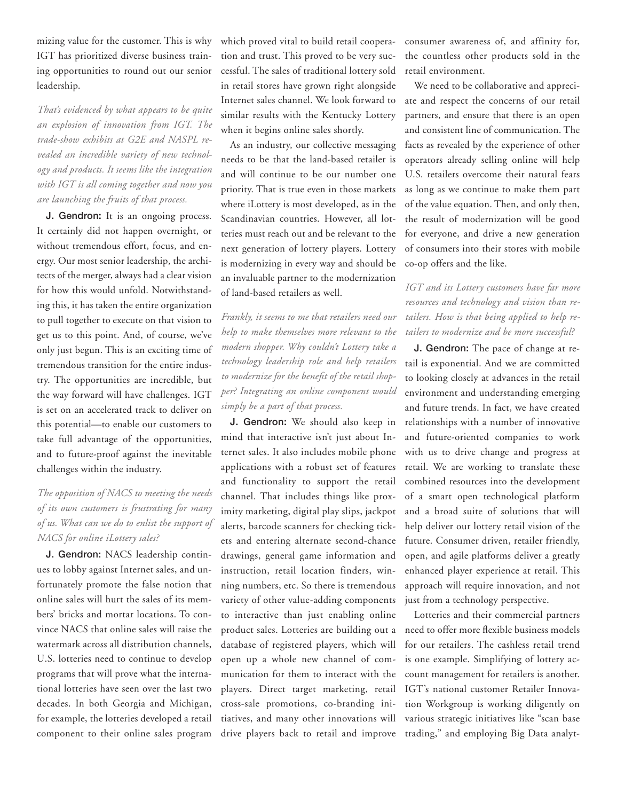mizing value for the customer. This is why IGT has prioritized diverse business training opportunities to round out our senior leadership.

*That's evidenced by what appears to be quite an explosion of innovation from IGT. The trade-show exhibits at G2E and NASPL revealed an incredible variety of new technology and products. It seems like the integration with IGT is all coming together and now you are launching the fruits of that process.* 

J. Gendron: It is an ongoing process. It certainly did not happen overnight, or without tremendous effort, focus, and energy. Our most senior leadership, the architects of the merger, always had a clear vision for how this would unfold. Notwithstanding this, it has taken the entire organization to pull together to execute on that vision to get us to this point. And, of course, we've only just begun. This is an exciting time of tremendous transition for the entire industry. The opportunities are incredible, but the way forward will have challenges. IGT is set on an accelerated track to deliver on this potential—to enable our customers to take full advantage of the opportunities, and to future-proof against the inevitable challenges within the industry.

# *The opposition of NACS to meeting the needs of its own customers is frustrating for many of us. What can we do to enlist the support of NACS for online iLottery sales?*

J. Gendron: NACS leadership continues to lobby against Internet sales, and unfortunately promote the false notion that online sales will hurt the sales of its members' bricks and mortar locations. To convince NACS that online sales will raise the watermark across all distribution channels, U.S. lotteries need to continue to develop programs that will prove what the international lotteries have seen over the last two decades. In both Georgia and Michigan, for example, the lotteries developed a retail component to their online sales program

which proved vital to build retail cooperation and trust. This proved to be very successful. The sales of traditional lottery sold in retail stores have grown right alongside similar results with the Kentucky Lottery when it begins online sales shortly.

As an industry, our collective messaging needs to be that the land-based retailer is and will continue to be our number one priority. That is true even in those markets where iLottery is most developed, as in the Scandinavian countries. However, all lotteries must reach out and be relevant to the next generation of lottery players. Lottery is modernizing in every way and should be an invaluable partner to the modernization of land-based retailers as well.

*Frankly, it seems to me that retailers need our help to make themselves more relevant to the modern shopper. Why couldn't Lottery take a technology leadership role and help retailers to modernize for the benefit of the retail shopper? Integrating an online component would simply be a part of that process.* 

J. Gendron: We should also keep in mind that interactive isn't just about Internet sales. It also includes mobile phone applications with a robust set of features and functionality to support the retail channel. That includes things like proximity marketing, digital play slips, jackpot alerts, barcode scanners for checking tickets and entering alternate second-chance drawings, general game information and instruction, retail location finders, winning numbers, etc. So there is tremendous variety of other value-adding components to interactive than just enabling online product sales. Lotteries are building out a database of registered players, which will open up a whole new channel of communication for them to interact with the players. Direct target marketing, retail cross-sale promotions, co-branding initiatives, and many other innovations will drive players back to retail and improve consumer awareness of, and affinity for, the countless other products sold in the retail environment.

Internet sales channel. We look forward to ate and respect the concerns of our retail We need to be collaborative and apprecipartners, and ensure that there is an open and consistent line of communication. The facts as revealed by the experience of other operators already selling online will help U.S. retailers overcome their natural fears as long as we continue to make them part of the value equation. Then, and only then, the result of modernization will be good for everyone, and drive a new generation of consumers into their stores with mobile co-op offers and the like.

### *IGT and its Lottery customers have far more resources and technology and vision than retailers. How is that being applied to help retailers to modernize and be more successful?*

J. Gendron: The pace of change at retail is exponential. And we are committed to looking closely at advances in the retail environment and understanding emerging and future trends. In fact, we have created relationships with a number of innovative and future-oriented companies to work with us to drive change and progress at retail. We are working to translate these combined resources into the development of a smart open technological platform and a broad suite of solutions that will help deliver our lottery retail vision of the future. Consumer driven, retailer friendly, open, and agile platforms deliver a greatly enhanced player experience at retail. This approach will require innovation, and not just from a technology perspective.

Lotteries and their commercial partners need to offer more flexible business models for our retailers. The cashless retail trend is one example. Simplifying of lottery account management for retailers is another. IGT's national customer Retailer Innovation Workgroup is working diligently on various strategic initiatives like "scan base trading," and employing Big Data analyt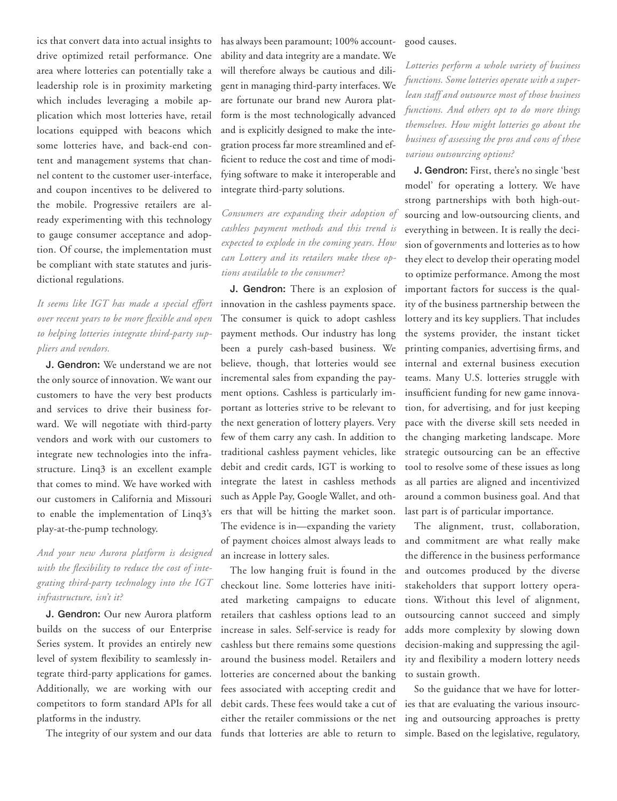ics that convert data into actual insights to drive optimized retail performance. One area where lotteries can potentially take a leadership role is in proximity marketing which includes leveraging a mobile application which most lotteries have, retail locations equipped with beacons which some lotteries have, and back-end content and management systems that channel content to the customer user-interface, and coupon incentives to be delivered to the mobile. Progressive retailers are already experimenting with this technology to gauge consumer acceptance and adoption. Of course, the implementation must be compliant with state statutes and jurisdictional regulations.

# *It seems like IGT has made a special effort over recent years to be more flexible and open to helping lotteries integrate third-party suppliers and vendors.*

J. Gendron: We understand we are not the only source of innovation. We want our customers to have the very best products and services to drive their business forward. We will negotiate with third-party vendors and work with our customers to integrate new technologies into the infrastructure. Linq3 is an excellent example that comes to mind. We have worked with our customers in California and Missouri to enable the implementation of Linq3's play-at-the-pump technology.

## *And your new Aurora platform is designed with the flexibility to reduce the cost of integrating third-party technology into the IGT infrastructure, isn't it?*

J. Gendron: Our new Aurora platform builds on the success of our Enterprise Series system. It provides an entirely new level of system flexibility to seamlessly integrate third-party applications for games. Additionally, we are working with our competitors to form standard APIs for all platforms in the industry.

The integrity of our system and our data funds that lotteries are able to return to

has always been paramount; 100% accountability and data integrity are a mandate. We will therefore always be cautious and diligent in managing third-party interfaces. We are fortunate our brand new Aurora platform is the most technologically advanced and is explicitly designed to make the integration process far more streamlined and efficient to reduce the cost and time of modifying software to make it interoperable and integrate third-party solutions.

*Consumers are expanding their adoption of cashless payment methods and this trend is expected to explode in the coming years. How can Lottery and its retailers make these options available to the consumer?* 

J. Gendron: There is an explosion of innovation in the cashless payments space. The consumer is quick to adopt cashless payment methods. Our industry has long been a purely cash-based business. We believe, though, that lotteries would see incremental sales from expanding the payment options. Cashless is particularly important as lotteries strive to be relevant to the next generation of lottery players. Very few of them carry any cash. In addition to traditional cashless payment vehicles, like debit and credit cards, IGT is working to integrate the latest in cashless methods such as Apple Pay, Google Wallet, and others that will be hitting the market soon. The evidence is in—expanding the variety of payment choices almost always leads to an increase in lottery sales.

The low hanging fruit is found in the checkout line. Some lotteries have initiated marketing campaigns to educate retailers that cashless options lead to an increase in sales. Self-service is ready for cashless but there remains some questions around the business model. Retailers and lotteries are concerned about the banking fees associated with accepting credit and debit cards. These fees would take a cut of either the retailer commissions or the net

#### good causes.

*Lotteries perform a whole variety of business functions. Some lotteries operate with a superlean staff and outsource most of those business functions. And others opt to do more things themselves. How might lotteries go about the business of assessing the pros and cons of these various outsourcing options?*

J. Gendron: First, there's no single 'best model' for operating a lottery. We have strong partnerships with both high-outsourcing and low-outsourcing clients, and everything in between. It is really the decision of governments and lotteries as to how they elect to develop their operating model to optimize performance. Among the most important factors for success is the quality of the business partnership between the lottery and its key suppliers. That includes the systems provider, the instant ticket printing companies, advertising firms, and internal and external business execution teams. Many U.S. lotteries struggle with insufficient funding for new game innovation, for advertising, and for just keeping pace with the diverse skill sets needed in the changing marketing landscape. More strategic outsourcing can be an effective tool to resolve some of these issues as long as all parties are aligned and incentivized around a common business goal. And that last part is of particular importance.

The alignment, trust, collaboration, and commitment are what really make the difference in the business performance and outcomes produced by the diverse stakeholders that support lottery operations. Without this level of alignment, outsourcing cannot succeed and simply adds more complexity by slowing down decision-making and suppressing the agility and flexibility a modern lottery needs to sustain growth.

So the guidance that we have for lotteries that are evaluating the various insourcing and outsourcing approaches is pretty simple. Based on the legislative, regulatory,